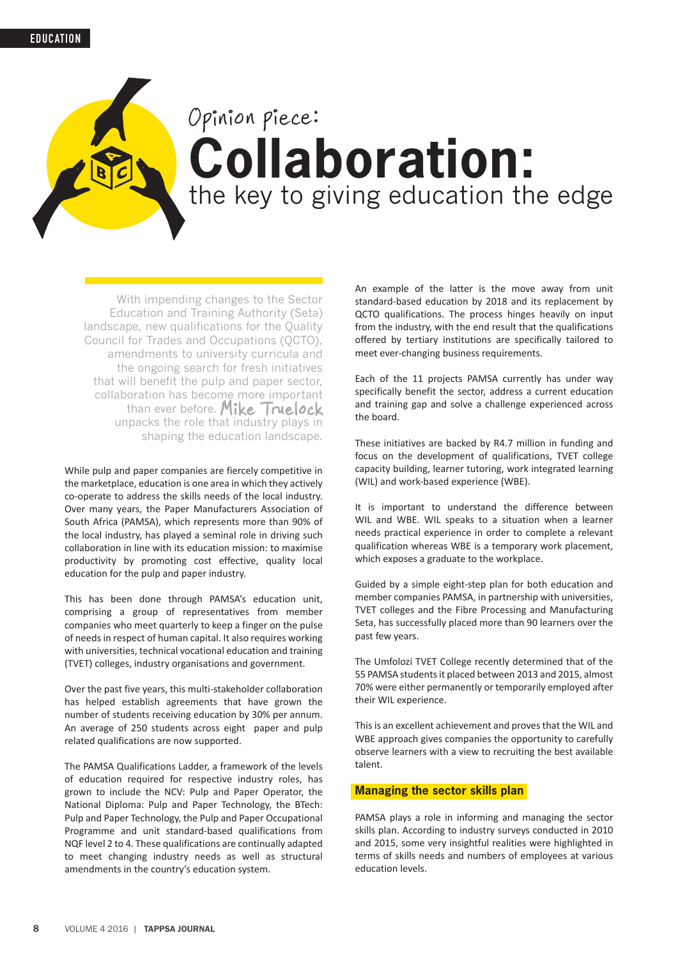# **Collaboration:**  the key to giving education the edge Opinion piece:

With impending changes to the Sector Education and Training Authority (Seta) landscape, new qualifications for the Quality Council for Trades and Occupations (QCTO), amendments to university curricula and the ongoing search for fresh initiatives that will benefit the pulp and paper sector, collaboration has become more important than ever before. Mike Truelock unpacks the role that industry plays in shaping the education landscape.

While pulp and paper companies are fiercely competitive in the marketplace, education is one area in which they actively co-operate to address the skills needs of the local industry. Over many years, the Paper Manufacturers Association of South Africa (PAMSA), which represents more than 90% of the local industry, has played a seminal role in driving such collaboration in line with its education mission: to maximise productivity by promoting cost effective, quality local education for the pulp and paper industry.

This has been done through PAMSA's education unit, comprising a group of representatives from member companies who meet quarterly to keep a finger on the pulse of needs in respect of human capital. It also requires working with universities, technical vocational education and training (TVET) colleges, industry organisations and government.

Over the past five years, this multi-stakeholder collaboration has helped establish agreements that have grown the number of students receiving education by 30% per annum. An average of 250 students across eight paper and pulp related qualifications are now supported.

The PAMSA Qualifications Ladder, a framework of the levels of education required for respective industry roles, has grown to include the NCV: Pulp and Paper Operator, the National Diploma: Pulp and Paper Technology, the BTech: Pulp and Paper Technology, the Pulp and Paper Occupational Programme and unit standard-based qualifications from NQF level 2 to 4. These qualifications are continually adapted to meet changing industry needs as well as structural amendments in the country's education system.

An example of the latter is the move away from unit standard-based education by 2018 and its replacement by QCTO qualifications. The process hinges heavily on input from the industry, with the end result that the qualifications offered by tertiary institutions are specifically tailored to meet ever-changing business requirements.

Each of the 11 projects PAMSA currently has under way specifically benefit the sector, address a current education and training gap and solve a challenge experienced across the board.

These initiatives are backed by R4.7 million in funding and focus on the development of qualifications, TVET college capacity building, learner tutoring, work integrated learning (WIL) and work-based experience (WBE).

It is important to understand the difference between WIL and WBE. WIL speaks to a situation when a learner needs practical experience in order to complete a relevant qualification whereas WBE is a temporary work placement, which exposes a graduate to the workplace.

Guided by a simple eight-step plan for both education and member companies PAMSA, in partnership with universities, TVET colleges and the Fibre Processing and Manufacturing Seta, has successfully placed more than 90 learners over the past few years.

The Umfolozi TVET College recently determined that of the 55 PAMSA students it placed between 2013 and 2015, almost 70% were either permanently or temporarily employed after their WIL experience.

This is an excellent achievement and proves that the WIL and WBE approach gives companies the opportunity to carefully observe learners with a view to recruiting the best available talent.

## **Managing the sector skills plan**

PAMSA plays a role in informing and managing the sector skills plan. According to industry surveys conducted in 2010 and 2015, some very insightful realities were highlighted in terms of skills needs and numbers of employees at various education levels.